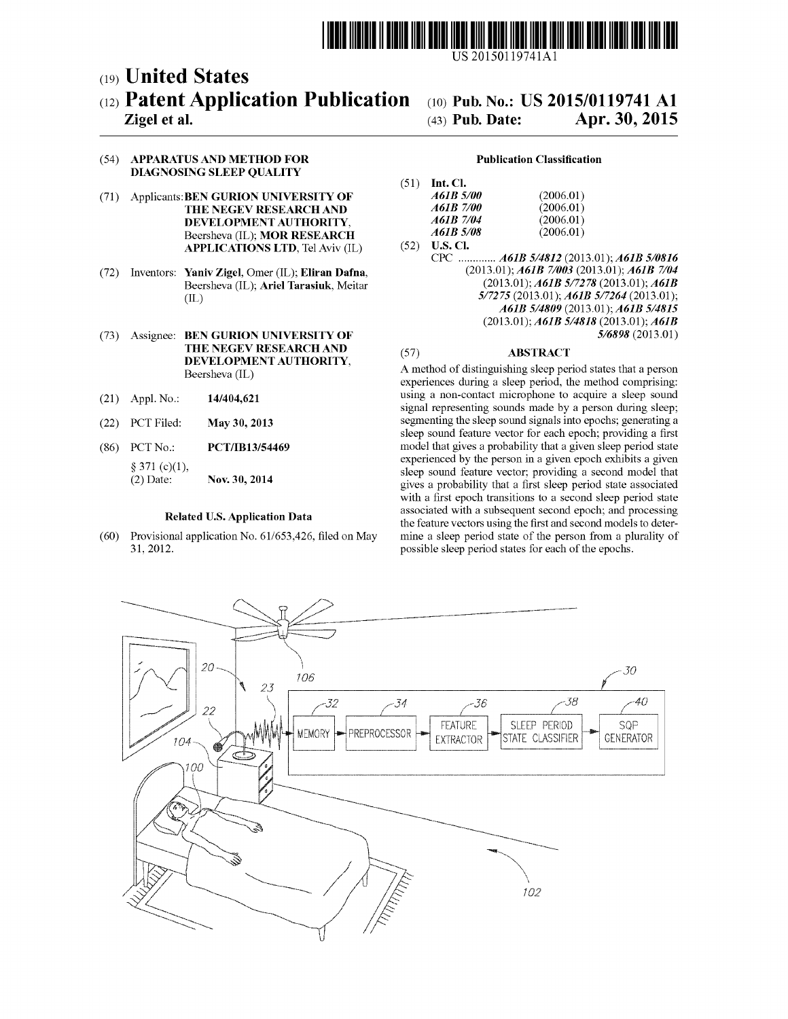

US 20150119741Al

# c19) **United States**  c12) **Patent Application Publication**

# **Zigel et al.**

# c10) **Pub. No.: US 2015/0119741 Al**  (43) **Pub. Date: Apr. 30, 2015**

## (54) **APPARATUS AND METHOD FOR DIAGNOSING SLEEP QUALITY**

- (71) Applicants: **BEN GURION UNIVERSITY OF THE NEGEV RESEARCH AND DEVELOPMENT AUTHORITY,**  Beersheva (IL); **MOR RESEARCH APPLICATIONS LTD,** Tel Aviv (IL)
- (72) Inventors: **Yaniv Zigel,** Omer (IL); **Eliran Dafna,**  Beersheva (IL); **Ariel Tarasiuk,** Meitar (IL)
- (73) Assignee: **BEN GURION UNIVERSITY OF THE NEGEV RESEARCH AND DEVELOPMENT AUTHORITY,**  Beersheva (IL)
- (21) Appl. No.: **14/404,621**
- (22) PCT Filed: **May 30, 2013**
- (86) PCT No.: **PCT /IB13/54469**  § 371 (c)(1), (2) Date: **Nov. 30, 2014**

#### **Related U.S. Application Data**

(60) Provisional application No. 61/653,426, filed on May 31, 2012.

#### **Publication Classification**

| Int. Cl.<br>1)   |           |
|------------------|-----------|
| A61B 5/00        | (2006.01) |
| A61B 7/00        | (2006.01) |
| A61B 7/04        | (2006.01) |
| <i>A61B 5/08</i> | (2006.01) |

 $(5)$ 

(52) **U.S. Cl.**  CPC ............. *A61B 514812* (2013.01); *A61B 510816*  (2013.01); *A61B 71003* (2013.01); *A61B 7104*  (2013.01); *A61B 517278* (2013.01); *A61B 517275* (2013.01); *A61B 517264* (2013.01); *A61B 514809* (2013.01); *A61B 514815*  (2013.01); *A61B 514818* (2013.01); *A61B 516898* (2013.01)

# (57) **ABSTRACT**

A method of distinguishing sleep period states that a person experiences during a sleep period, the method comprising: using a non-contact microphone to acquire a sleep sound signal representing sounds made by a person during sleep; segmenting the sleep sound signals into epochs; generating a sleep sound feature vector for each epoch; providing a first model that gives a probability that a given sleep period state experienced by the person in a given epoch exhibits a given sleep sound feature vector; providing a second model that gives a probability that a first sleep period state associated with a first epoch transitions to a second sleep period state associated with a subsequent second epoch; and processing the feature vectors using the first and second models to determine a sleep period state of the person from a plurality of possible sleep period states for each of the epochs.

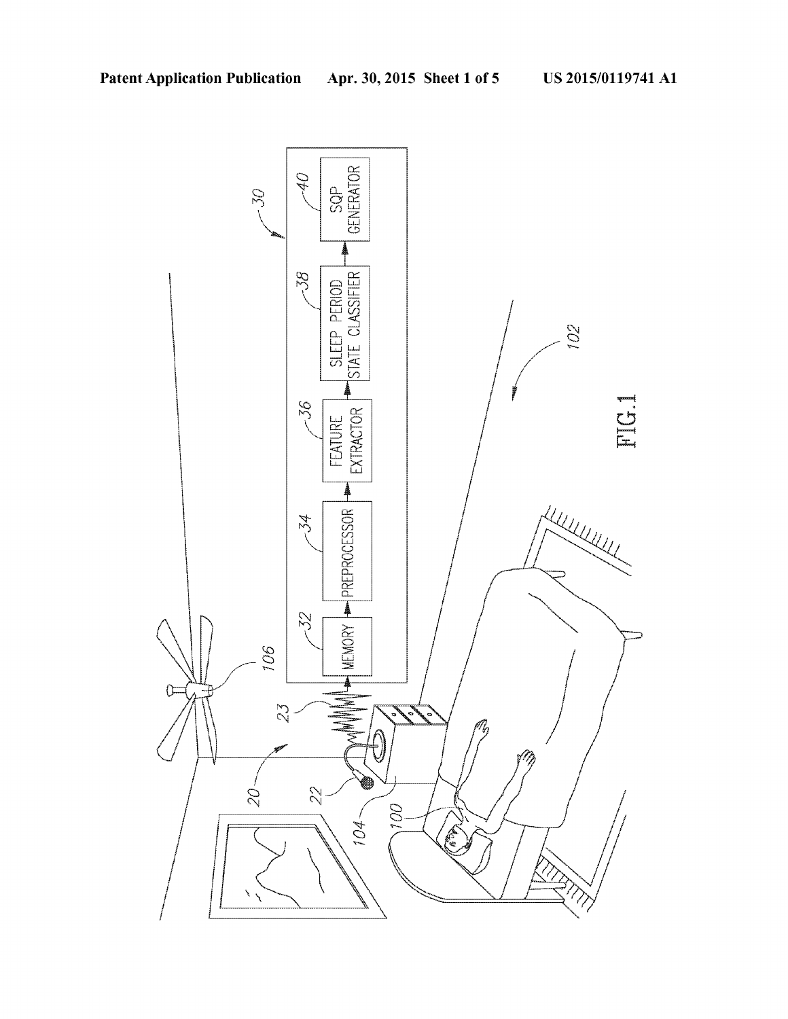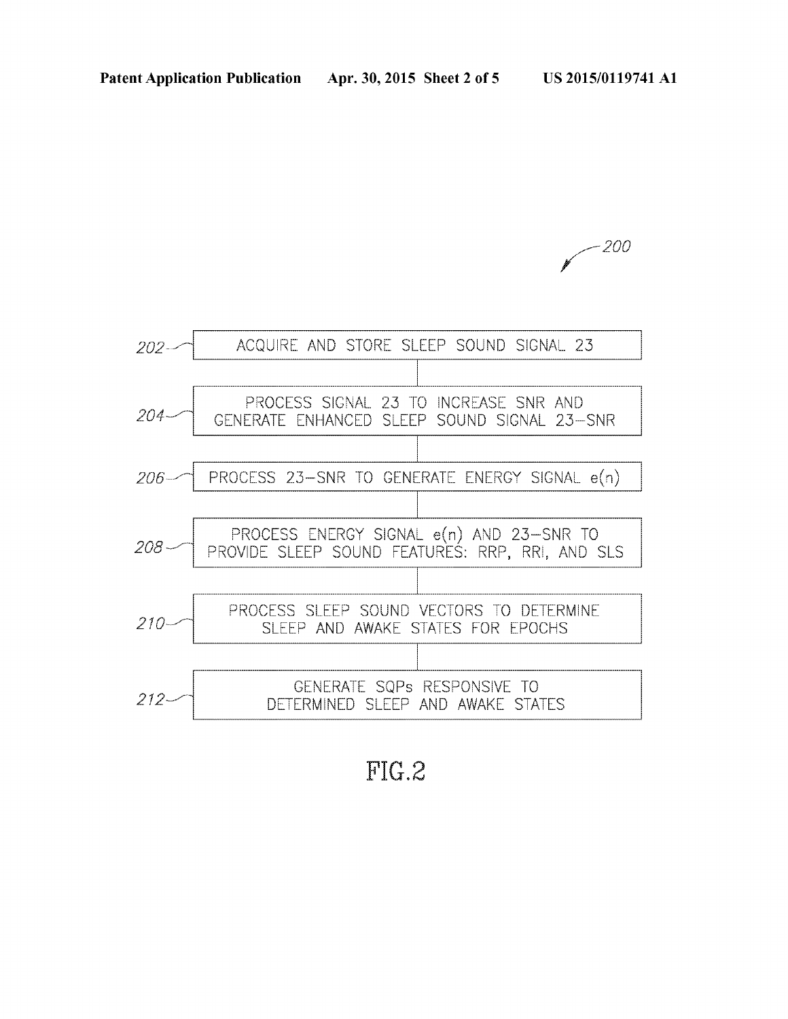



FIG.2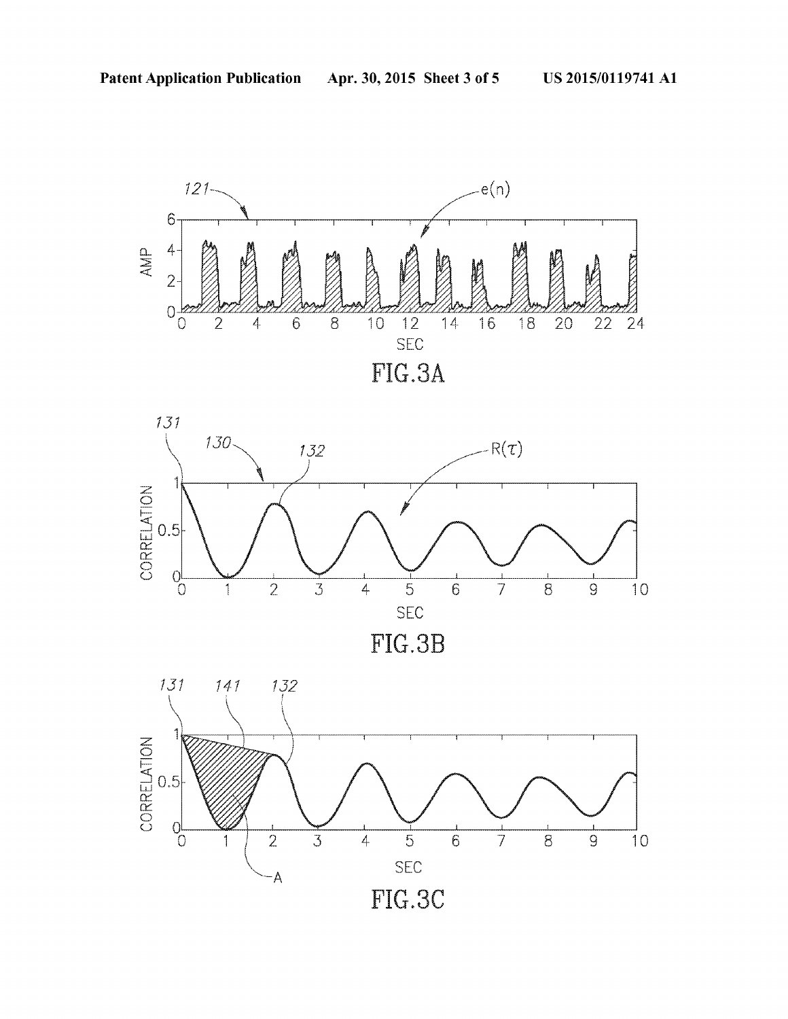





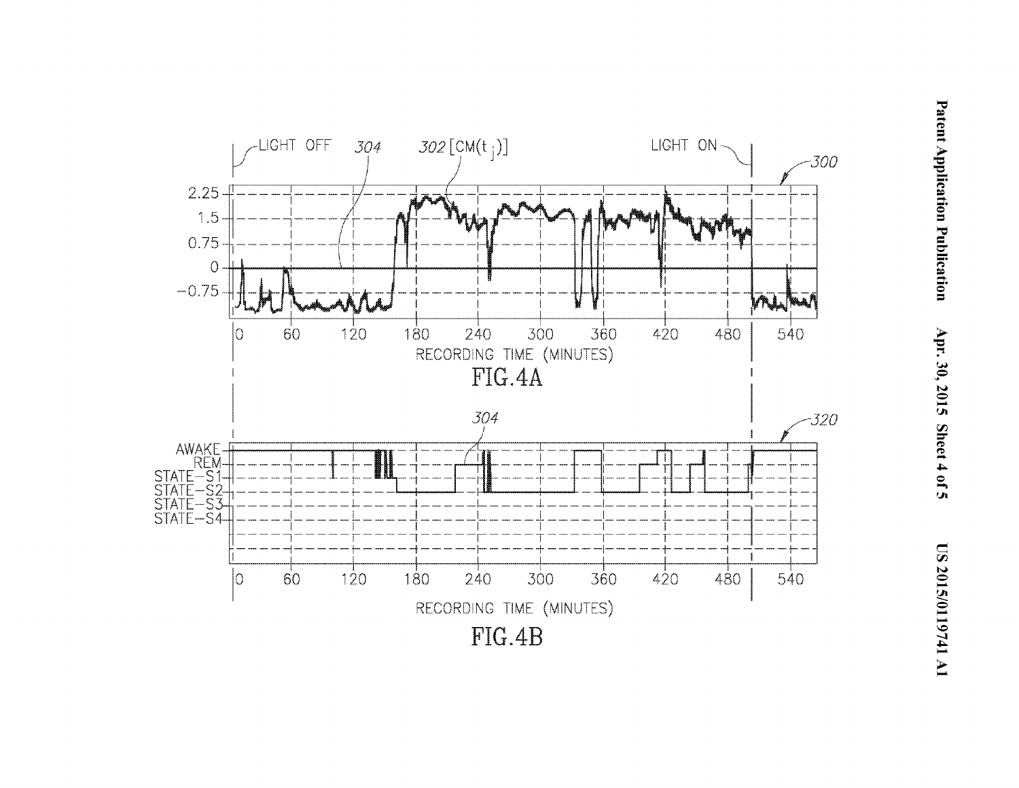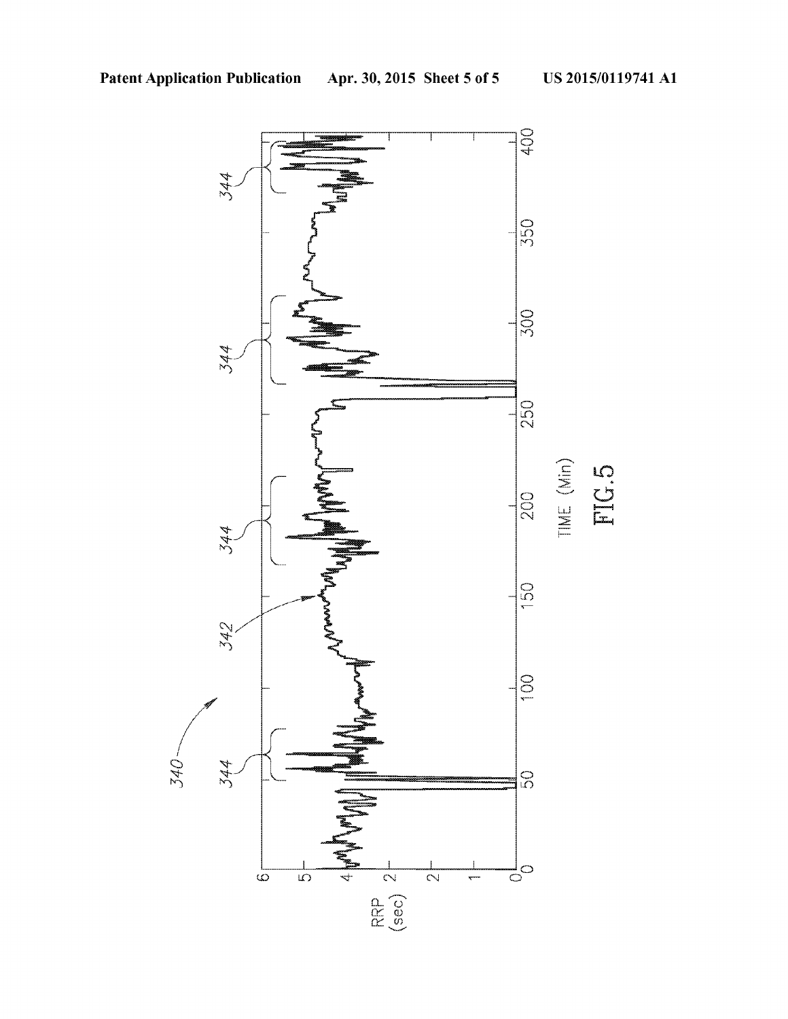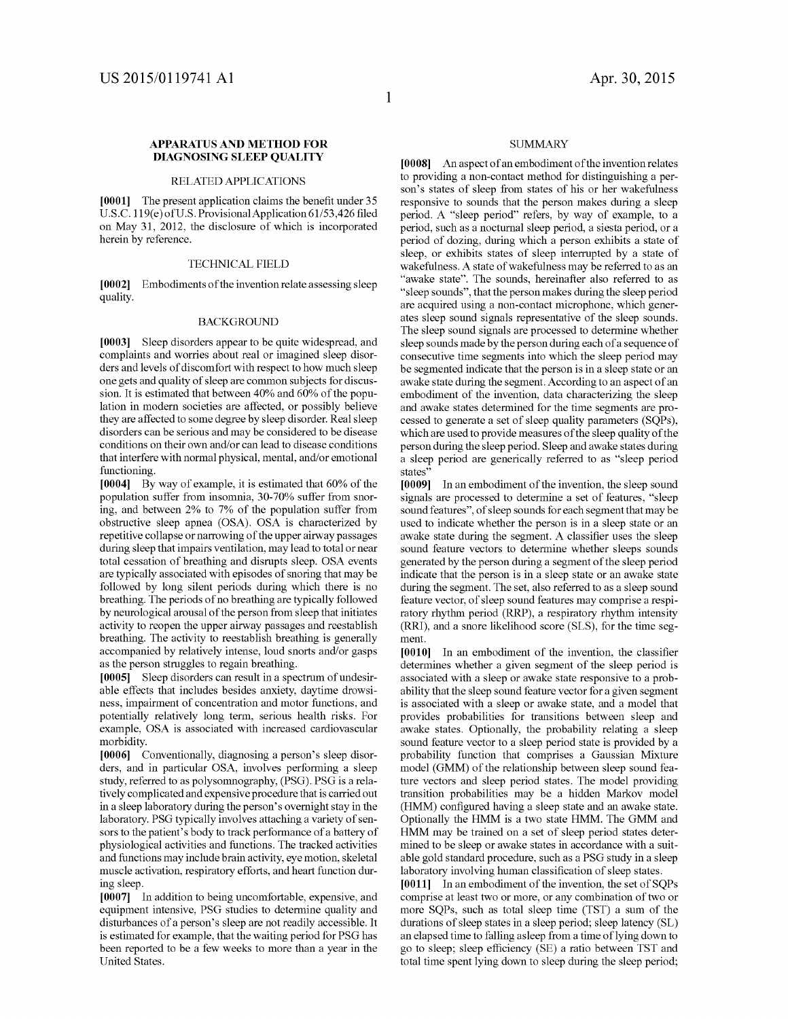### **APPARATUS AND METHOD FOR DIAGNOSING SLEEP QUALITY**

#### RELATED APPLICATIONS

**[0001]** The present application claims the benefit under 35 U.S.C. 119(e) of U.S. Provisional Application 61/53,426 filed on May 31, 2012, the disclosure of which is incorporated herein by reference.

#### TECHNICAL FIELD

**[0002]** Embodiments of the invention relate assessing sleep quality.

#### BACKGROUND

**[0003]** Sleep disorders appear to be quite widespread, and complaints and worries about real or imagined sleep disorders and levels of discomfort with respect to how much sleep one gets and quality of sleep are common subjects for discussion. It is estimated that between 40% and 60% of the population in modern societies are affected, or possibly believe they are affected to some degree by sleep disorder. Real sleep disorders can be serious and may be considered to be disease conditions on their own and/or can lead to disease conditions that interfere with normal physical, mental, and/or emotional functioning.

**[0004]** By way of example, it is estimated that 60% of the population suffer from insomnia, 30-70% suffer from snoring, and between 2% to 7% of the population suffer from obstructive sleep apnea (OSA). OSA is characterized by repetitive collapse or narrowing of the upper airway passages during sleep that impairs ventilation, may lead to total or near total cessation of breathing and disrupts sleep. OSA events are typically associated with episodes of snoring that may be followed by long silent periods during which there is no breathing. The periods of no breathing are typically followed by neurological arousal of the person from sleep that initiates activity to reopen the upper airway passages and reestablish breathing. The activity to reestablish breathing is generally accompanied by relatively intense, loud snorts and/or gasps as the person struggles to regain breathing.

**[0005]** Sleep disorders can result in a spectrum of undesirable effects that includes besides anxiety, daytime drowsiness, impairment of concentration and motor functions, and potentially relatively long term, serious health risks. For example, OSA is associated with increased cardiovascular morbidity.

**[0006]** Conventionally, diagnosing a person's sleep disorders, and in particular OSA, involves performing a sleep study, referred to as polysonmography, (PSG). PSG is a relatively complicated and expensive procedure that is carried out in a sleep laboratory during the person's overnight stay in the laboratory. PSG typically involves attaching a variety of sensors to the patient's body to track performance of a battery of physiological activities and functions. The tracked activities and functions may include brain activity, eye motion, skeletal muscle activation, respiratory efforts, and heart function during sleep.

**[0007]** In addition to being uncomfortable, expensive, and equipment intensive, PSG studies to determine quality and disturbances of a person's sleep are not readily accessible. It is estimated for example, that the waiting period for PSG has been reported to be a few weeks to more than a year in the United States.

#### **SUMMARY**

**[0008]** An aspect of an embodiment of the invention relates to providing a non-contact method for distinguishing a person's states of sleep from states of his or her wakefulness responsive to sounds that the person makes during a sleep period. A "sleep period" refers, by way of example, to a period, such as a nocturnal sleep period, a siesta period, or a period of dozing, during which a person exhibits a state of sleep, or exhibits states of sleep interrupted by a state of wakefulness. A state of wakefulness may be referred to as an "awake state". The sounds, hereinafter also referred to as "sleep sounds", that the person makes during the sleep period are acquired using a non-contact microphone, which generates sleep sound signals representative of the sleep sounds. The sleep sound signals are processed to determine whether sleep sounds made by the person during each of a sequence of consecutive time segments into which the sleep period may be segmented indicate that the person is in a sleep state or an awake state during the segment. According to an aspect of an embodiment of the invention, data characterizing the sleep and awake states determined for the time segments are processed to generate a set of sleep quality parameters (SQPs), which are used to provide measures of the sleep quality of the person during the sleep period. Sleep and awake states during a sleep period are generically referred to as "sleep period states"

**[0009]** In an embodiment of the invention, the sleep sound signals are processed to determine a set of features, "sleep sound features", of sleep sounds for each segment that may be used to indicate whether the person is in a sleep state or an awake state during the segment. A classifier uses the sleep sound feature vectors to determine whether sleeps sounds generated by the person during a segment of the sleep period indicate that the person is in a sleep state or an awake state during the segment. The set, also referred to as a sleep sound feature vector, of sleep sound features may comprise a respiratory rhythm period (RRP), a respiratory rhythm intensity (RRI), and a snore likelihood score (SLS), for the time segment.

**[0010]** In an embodiment of the invention, the classifier determines whether a given segment of the sleep period is associated with a sleep or awake state responsive to a probability that the sleep sound feature vector for a given segment is associated with a sleep or awake state, and a model that provides probabilities for transitions between sleep and awake states. Optionally, the probability relating a sleep sound feature vector to a sleep period state is provided by a probability function that comprises a Gaussian Mixture model (GMM) of the relationship between sleep sound feature vectors and sleep period states. The model providing transition probabilities may be a hidden Markov model (HMM) configured having a sleep state and an awake state. Optionally the HMM is a two state HMM. The GMM and HMM may be trained on a set of sleep period states determined to be sleep or awake states in accordance with a suitable gold standard procedure, such as a PSG study in a sleep laboratory involving human classification of sleep states.

[0011] In an embodiment of the invention, the set of SQPs comprise at least two or more, or any combination of two or more SQPs, such as total sleep time (TST) a sum of the durations of sleep states in a sleep period; sleep latency (SL) an elapsed time to falling asleep from a time of lying down to go to sleep; sleep efficiency (SE) a ratio between TST and total time spent lying down to sleep during the sleep period;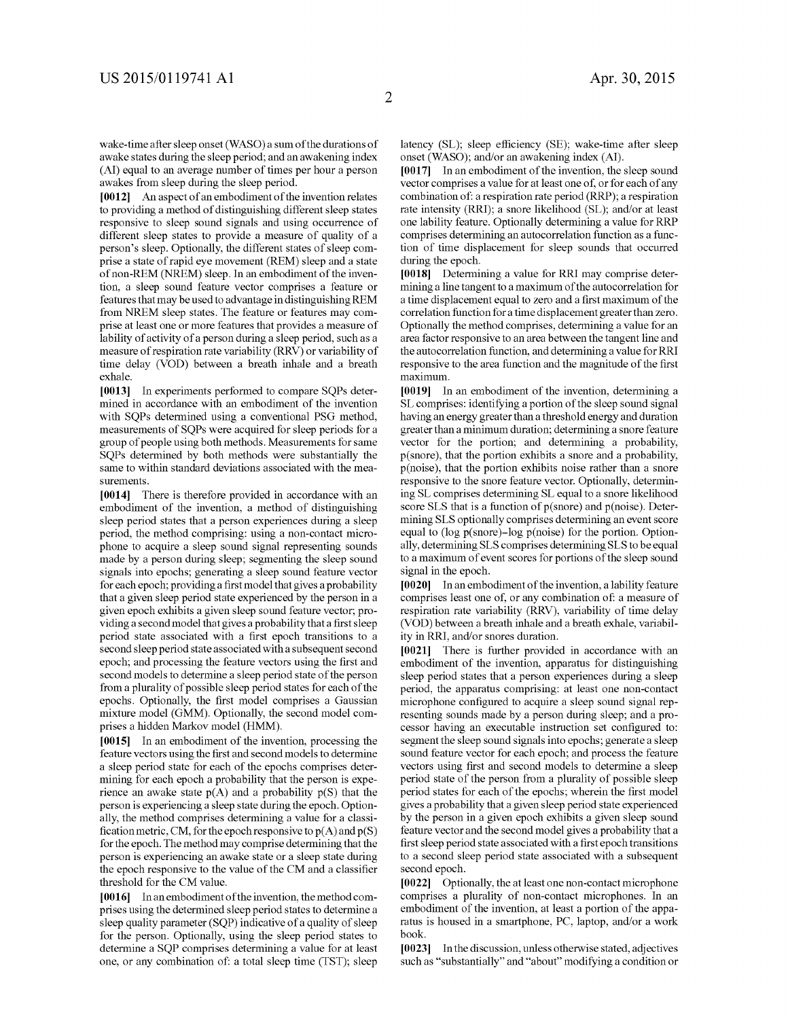**[0012]** An aspect of an embodiment of the invention relates to providing a method of distinguishing different sleep states responsive to sleep sound signals and using occurrence of different sleep states to provide a measure of quality of a person's sleep. Optionally, the different states of sleep comprise a state of rapid eye movement (REM) sleep and a state of non-REM (NREM) sleep. In an embodiment of the invention, a sleep sound feature vector comprises a feature or features that may be used to advantage in distinguishing REM from NREM sleep states. The feature or features may comprise at least one or more features that provides a measure of lability of activity of a person during a sleep period, such as a measure of respiration rate variability (RRV) or variability of time delay (VOD) between a breath inhale and a breath exhale.

**[0013]** In experiments performed to compare SQPs determined in accordance with an embodiment of the invention with SQPs determined using a conventional PSG method, measurements of SQPs were acquired for sleep periods for a group of people using both methods. Measurements for same SQPs determined by both methods were substantially the same to within standard deviations associated with the measurements.

**[0014]** There is therefore provided in accordance with an embodiment of the invention, a method of distinguishing sleep period states that a person experiences during a sleep period, the method comprising: using a non-contact microphone to acquire a sleep sound signal representing sounds made by a person during sleep; segmenting the sleep sound signals into epochs; generating a sleep sound feature vector for each epoch; providing a first model that gives a probability that a given sleep period state experienced by the person in a given epoch exhibits a given sleep sound feature vector; providing a second model that gives a probability that a first sleep period state associated with a first epoch transitions to a second sleep period state associated with a subsequent second epoch; and processing the feature vectors using the first and second models to determine a sleep period state of the person from a plurality of possible sleep period states for each of the epochs. Optionally, the first model comprises a Gaussian mixture model (GMM). Optionally, the second model comprises a hidden Markov model (HMM).

**[0015]** In an embodiment of the invention, processing the feature vectors using the first and second models to determine a sleep period state for each of the epochs comprises determining for each epoch a probability that the person is experience an awake state  $p(A)$  and a probability  $p(S)$  that the person is experiencing a sleep state during the epoch. Optionally, the method comprises determining a value for a classification metric, CM, for the epoch responsive to  $p(A)$  and  $p(S)$ for the epoch. The method may comprise determining that the person is experiencing an awake state or a sleep state during the epoch responsive to the value of the CM and a classifier threshold for the CM value.

[0016] In an embodiment of the invention, the method comprises using the determined sleep period states to determine a sleep quality parameter (SQP) indicative of a quality of sleep for the person. Optionally, using the sleep period states to determine a SQP comprises determining a value for at least one, or any combination of: a total sleep time (TST); sleep latency (SL); sleep efficiency (SE); wake-time after sleep onset (WASO); and/or an awakening index (AI).

**[0017]** In an embodiment of the invention, the sleep sound vector comprises a value for at least one of, or for each of any combination of: a respiration rate period (RRP); a respiration rate intensity (RRI); a snore likelihood (SL); and/or at least one lability feature. Optionally determining a value for RRP comprises determining an autocorrelation function as a function of time displacement for sleep sounds that occurred during the epoch.

**[0018]** Determining a value for RRI may comprise determining a line tangent to a maximum of the autocorrelation for a time displacement equal to zero and a first maximum of the correlation function for a time displacement greaterthan zero. Optionally the method comprises, determining a value for an area factor responsive to an area between the tangent line and the autocorrelation function, and determining a value for RRI responsive to the area function and the magnitude of the first maximum.

**[0019]** In an embodiment of the invention, determining a SL comprises: identifying a portion of the sleep sound signal having an energy greater than a threshold energy and duration greater than a minimum duration; determining a snore feature vector for the portion; and determining a probability, p(snore), that the portion exhibits a snore and a probability, p(noise), that the portion exhibits noise rather than a snore responsive to the snore feature vector. Optionally, determining SL comprises determining SL equal to a snore likelihood score SLS that is a function of  $p(\text{snore})$  and  $p(\text{noise})$ . Determining SLS optionally comprises determining an event score equal to (log p(snore)-log p(noise) for the portion. Optionally, determining SLS comprises determining SLS to be equal to a maximum of event scores for portions of the sleep sound signal in the epoch.

**[0020]** In an embodiment of the invention, a !ability feature comprises least one of, or any combination of: a measure of respiration rate variability (RRV), variability of time delay (VOD) between a breath inhale and a breath exhale, variability in RRI, and/or snores duration.

**[0021]** There is further provided in accordance with an embodiment of the invention, apparatus for distinguishing sleep period states that a person experiences during a sleep period, the apparatus comprising: at least one non-contact microphone configured to acquire a sleep sound signal representing sounds made by a person during sleep; and a processor having an executable instruction set configured to: segment the sleep sound signals into epochs; generate a sleep sound feature vector for each epoch; and process the feature vectors using first and second models to determine a sleep period state of the person from a plurality of possible sleep period states for each of the epochs; wherein the first model gives a probability that a given sleep period state experienced by the person in a given epoch exhibits a given sleep sound feature vector and the second model gives a probability that a first sleep period state associated with a first epoch transitions to a second sleep period state associated with a subsequent second epoch.

**[0022]** Optionally, the at least one non-contact microphone comprises a plurality of non-contact microphones. In an embodiment of the invention, at least a portion of the apparatus is housed in a smartphone, PC, laptop, and/or a work book.

**[0023]** In the discussion, unless otherwise stated, adjectives such as "substantially" and "about" modifying a condition or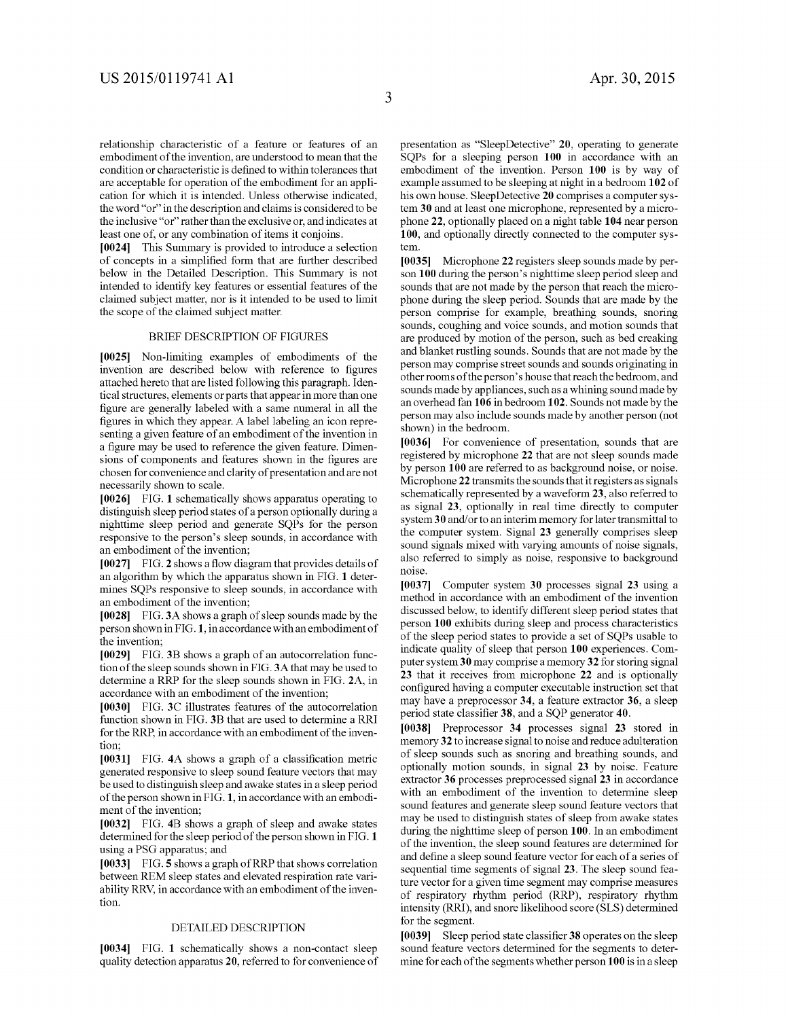relationship characteristic of a feature or features of an embodiment of the invention, are understood to mean that the condition or characteristic is defined to within tolerances that are acceptable for operation of the embodiment for an application for which it is intended. Unless otherwise indicated, the word "or" in the description and claims is considered to be the inclusive "or" rather than the exclusive or, and indicates at least one of, or any combination of items it conjoins.

**[0024]** This Summary is provided to introduce a selection of concepts in a simplified form that are further described below in the Detailed Description. This Summary is not intended to identify key features or essential features of the claimed subject matter, nor is it intended to be used to limit the scope of the claimed subject matter.

#### BRIEF DESCRIPTION OF FIGURES

**[0025]** Non-limiting examples of embodiments of the invention are described below with reference to figures attached hereto that are listed following this paragraph. Identical structures, elements or parts that appear in more than one figure are generally labeled with a same numeral in all the figures in which they appear. A label labeling an icon representing a given feature of an embodiment of the invention in a figure may be used to reference the given feature. Dimensions of components and features shown in the figures are chosen for convenience and clarity of presentation and are not necessarily shown to scale.

**[0026]** FIG. **1** schematically shows apparatus operating to distinguish sleep period states of a person optionally during a nighttime sleep period and generate SQPs for the person responsive to the person's sleep sounds, in accordance with an embodiment of the invention;

**[0027]** FIG. **2** shows a flow diagram that provides details of an algorithm by which the apparatus shown in FIG. **1** determines SQPs responsive to sleep sounds, in accordance with an embodiment of the invention;

**[0028]** FIG. 3A shows a graph of sleep sounds made by the person shown in FIG. **1,** in accordance with an embodiment of the invention;

**[0029]** FIG. 3B shows a graph of an autocorrelation function of the sleep sounds shown in FIG. 3A that may be used to determine a RRP for the sleep sounds shown in FIG. 2A, in accordance with an embodiment of the invention;

**[0030]** FIG. 3C illustrates features of the autocorrelation function shown in FIG. 3B that are used to determine a RRI for the RRP, in accordance with an embodiment of the invention;

**[0031]** FIG. **4A** shows a graph of a classification metric generated responsive to sleep sound feature vectors that may be used to distinguish sleep and awake states in a sleep period of the person shown in FIG. **1,** in accordance with an embodiment of the invention;

**[0032]** FIG. **4B** shows a graph of sleep and awake states determined for the sleep period of the person shown in FIG. **1**  using a PSG apparatus; and

**[0033]** FIG. **5** shows a graph ofRRP that shows correlation between REM sleep states and elevated respiration rate variability RRV, in accordance with an embodiment of the invention.

#### DETAILED DESCRIPTION

**[0034]** FIG. **1** schematically shows a non-contact sleep quality detection apparatus **20,** referred to for convenience of

presentation as "SleepDetective" **20,** operating to generate SQPs for a sleeping person **100** in accordance with an embodiment of the invention. Person **100** is by way of example assumed to be sleeping at night in a bedroom **102** of his own house. Sleep Detective **20** comprises a computer system **30** and at least one microphone, represented by a microphone **22,** optionally placed on a night table **104** near person **100,** and optionally directly connected to the computer system.

**[0035]** Microphone **22** registers sleep sounds made by person **100** during the person's nighttime sleep period sleep and sounds that are not made by the person that reach the microphone during the sleep period. Sounds that are made by the person comprise for example, breathing sounds, snoring sounds, coughing and voice sounds, and motion sounds that are produced by motion of the person, such as bed creaking and blanket rustling sounds. Sounds that are not made by the person may comprise street sounds and sounds originating in other rooms of the person's house that reach the bedroom, and sounds made by appliances, such as a whining sound made by an overhead fan **106** in bedroom **102.** Sounds not made by the person may also include sounds made by another person (not shown) in the bedroom.

**[0036]** For convenience of presentation, sounds that are registered by microphone **22** that are not sleep sounds made by person **100** are referred to as background noise, or noise. Microphone **22** transmits the sounds that it registers as signals schematically represented by a waveform **23,** also referred to as signal **23,** optionally in real time directly to computer system 30 and/or to an interim memory for later transmittal to the computer system. Signal **23** generally comprises sleep sound signals mixed with varying amounts of noise signals, also referred to simply as noise, responsive to background noise.

**[0037]** Computer system **30** processes signal **23** using a method in accordance with an embodiment of the invention discussed below, to identify different sleep period states that person **100** exhibits during sleep and process characteristics of the sleep period states to provide a set of SQPs usable to indicate quality of sleep that person **100** experiences. Computer system **30** may comprise a memory **32** for storing signal **23** that it receives from microphone **22** and is optionally configured having a computer executable instruction set that may have a preprocessor **34,** a feature extractor **36,** a sleep period state classifier **38,** and a SQP generator **40.** 

**[0038]** Preprocessor **34** processes signal **23** stored in memory **32** to increase signal to noise and reduce adulteration of sleep sounds such as snoring and breathing sounds, and optionally motion sounds, in signal **23** by noise. Feature extractor **36** processes preprocessed signal **23** in accordance with an embodiment of the invention to determine sleep sound features and generate sleep sound feature vectors that may be used to distinguish states of sleep from awake states during the nighttime sleep of person **100.** In an embodiment of the invention, the sleep sound features are determined for and define a sleep sound feature vector for each of a series of sequential time segments of signal **23.** The sleep sound feature vector for a given time segment may comprise measures of respiratory rhythm period (RRP), respiratory rhythm intensity (RRI), and snore likelihood score (SLS) determined for the segment.

**[0039]** Sleep period state classifier **38** operates on the sleep sound feature vectors determined for the segments to determine for each of the segments whether person **100** is in a sleep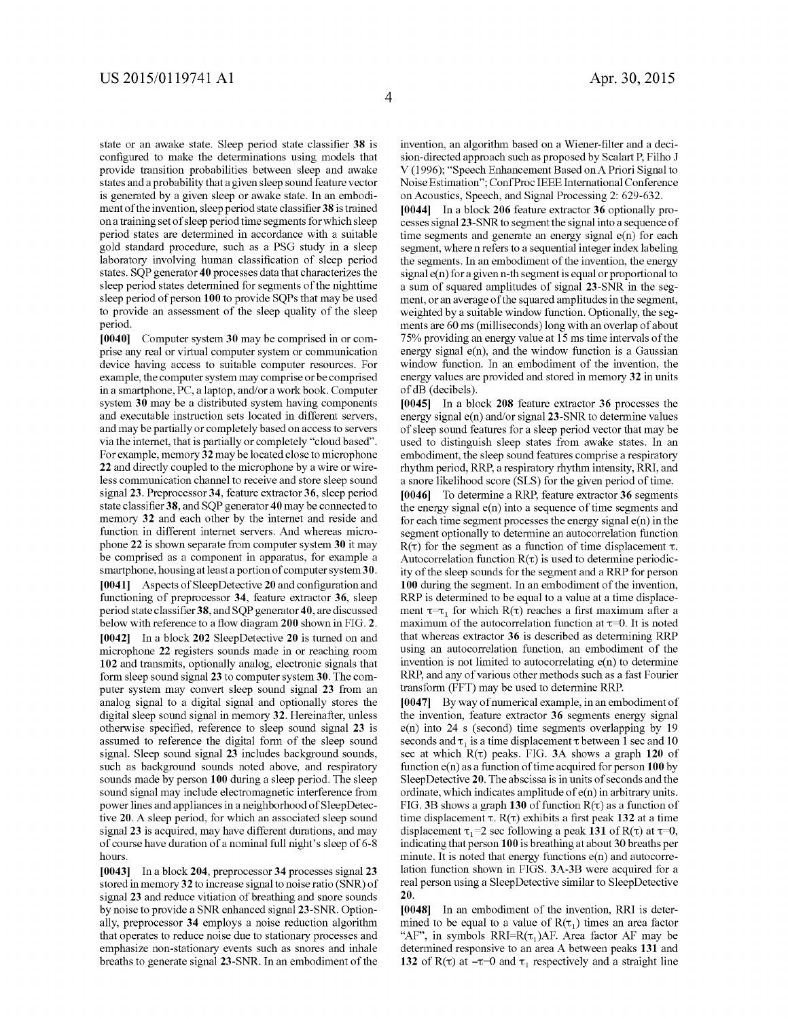state or an awake state. Sleep period state classifier **38** is configured to make the determinations using models that provide transition probabilities between sleep and awake states and a probability that a given sleep sound feature vector is generated by a given sleep or awake state. In an embodiment of the invention, sleep period state classifier **38** is trained on a training set of sleep period time segments for which sleep period states are determined in accordance with a suitable gold standard procedure, such as a PSG study in a sleep laboratory involving human classification of sleep period states. SQP generator **40** processes data that characterizes the sleep period states determined for segments of the nighttime sleep period of person **100** to provide SQPs that may be used to provide an assessment of the sleep quality of the sleep period.

**[0040]** Computer system **30** may be comprised in or comprise any real or virtual computer system or communication device having access to suitable computer resources. For example, the computer system may comprise or be comprised in a smartphone, PC, a laptop, and/or a work book. Computer system **30** may be a distributed system having components and executable instruction sets located in different servers, and may be partially or completely based on access to servers via the internet, that is partially or completely "cloud based". For example, memory **32** may be located close to microphone **22** and directly coupled to the microphone by a wire or wireless communication channel to receive and store sleep sound signal **23.** Preprocessor **34,** feature extractor **36,** sleep period state classifier **38,** and SQP generator **40** may be connected to memory **32** and each other by the internet and reside and function in different internet servers. And whereas microphone **22** is shown separate from computer system **30** it may be comprised as a component in apparatus, for example a smartphone, housing at least a portion of computer system **3 0.**  [ **0041]** Aspects of Sleep Detective **20** and configuration and functioning of preprocessor **34,** feature extractor **36,** sleep period state classifier **38,** and SQP generator40, are discussed below with reference to a flow diagram **200** shown in FIG. **2. [0042]** In a block **202** SleepDetective **20** is turned on and microphone **22** registers sounds made in or reaching room **102** and transmits, optionally analog, electronic signals that form sleep sound signal **23** to computer system **30.** The computer system may convert sleep sound signal **23** from an analog signal to a digital signal and optionally stores the digital sleep sound signal in memory **32.** Hereinafter, unless otherwise specified, reference to sleep sound signal **23** is assumed to reference the digital form of the sleep sound signal. Sleep sound signal **23** includes background sounds, such as background sounds noted above, and respiratory sounds made by person **100** during a sleep period. The sleep sound signal may include electromagnetic interference from power lines and appliances in a neighborhood of SleepDetective **20.** A sleep period, for which an associated sleep sound signal **23** is acquired, may have different durations, and may of course have duration of a nominal full night's sleep of 6-8 hours.

**[0043]** In a block **204,** preprocessor **34** processes signal **23**  stored in memory **32** to increase signal to noise ratio (SNR) of signal **23** and reduce vitiation of breathing and snore sounds by noise to provide a SNR enhanced signal 23-SNR. Optionally, preprocessor **34** employs a noise reduction algorithm that operates to reduce noise due to stationary processes and emphasize non-stationary events such as snores and inhale breaths to generate signal 23-SNR. In an embodiment of the invention, an algorithm based on a Wiener-filter and a decision-directed approach such as proposed by Scalart P, Filho J V (1996); "Speech Enhancement Based on A Priori Signal to Noise Estimation"; Conf Proc IEEE International Conference on Acoustics, Speech, and Signal Processing 2: 629-632.

**[0044]** In a block **206** feature extractor **36** optionally processes signal 23-SNR to segment the signal into a sequence of time segments and generate an energy signal e(n) for each segment, where n refers to a sequential integer index labeling the segments. In an embodiment of the invention, the energy  $signal e(n)$  for a given n-th segment is equal or proportional to a sum of squared amplitudes of signal 23-SNR in the segment, or an average of the squared amplitudes in the segment, weighted by a suitable window function. Optionally, the segments are 60 ms (milliseconds) long with an overlap of about 7 5% providing an energy value at 15 ms time intervals of the energy signal  $e(n)$ , and the window function is a Gaussian window function. In an embodiment of the invention, the energy values are provided and stored in memory **32** in units of dB (decibels).

**[0045]** In a block **208** feature extractor **36** processes the energy signal e(n) and/or signal 23-SNR to determine values of sleep sound features for a sleep period vector that may be used to distinguish sleep states from awake states. In an embodiment, the sleep sound features comprise a respiratory rhythm period, RRP, a respiratory rhythm intensity, RRI, and a snore likelihood score (SLS) for the given period of time.

**[0046]** To determine a RRP, feature extractor **36** segments the energy signal e(n) into a sequence of time segments and for each time segment processes the energy signal e(n) in the segment optionally to determine an autocorrelation function  $R(\tau)$  for the segment as a function of time displacement  $\tau$ . Autocorrelation function  $R(\tau)$  is used to determine periodicity of the sleep sounds for the segment and a RRP for person **100** during the segment. In an embodiment of the invention, RRP is determined to be equal to a value at a time displacement  $\tau = \tau_1$  for which R( $\tau$ ) reaches a first maximum after a maximum of the autocorrelation function at  $\tau=0$ . It is noted that whereas extractor **36** is described as determining RRP using an autocorrelation function, an embodiment of the invention is not limited to autocorrelating  $e(n)$  to determine RRP, and any of various other methods such as a fast Fourier transform (FFT) may be used to determine RRP.

**[0047]** By way of numerical example, in an embodiment of the invention, feature extractor **36** segments energy signal e(n) into 24 s (second) time segments overlapping by 19 seconds and  $\tau_1$  is a time displacement  $\tau$  between 1 sec and 10 sec at which  $R(\tau)$  peaks. FIG. 3A shows a graph 120 of function e(n) as a function of time acquired for person **100** by Sleep Detective **20.** The abscissa is in units of seconds and the ordinate, which indicates amplitude of e(n) in arbitrary units. FIG. 3B shows a graph 130 of function  $R(\tau)$  as a function of time displacement  $\tau$ . R( $\tau$ ) exhibits a first peak 132 at a time displacement  $\tau_1$ =2 sec following a peak **131** of R( $\tau$ ) at  $\tau$ =0, indicating that person **100** is breathing at about 30 breaths per minute. It is noted that energy functions e(n) and autocorrelation function shown in FIGS. 3A-3B were acquired for a real person using a Sleep Detective similar to SleepDetective **20.** 

**[0048]** In an embodiment of the invention, RRI is determined to be equal to a value of  $R(\tau_1)$  times an area factor "AF", in symbols RRI=R( $\tau_1$ )AF. Area factor AF may be determined responsive to an area A between peaks **131** and **132** of R( $\tau$ ) at  $-\tau=0$  and  $\tau_1$  respectively and a straight line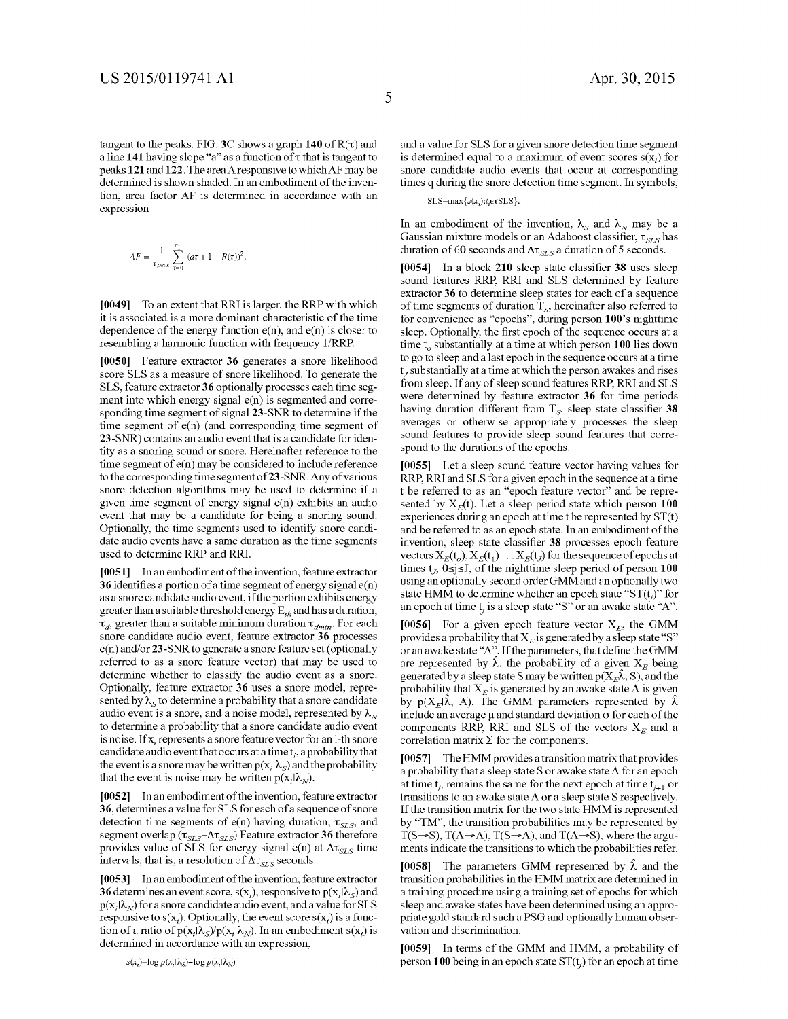tangent to the peaks. FIG. 3C shows a graph  $140$  of  $R(\tau)$  and a line 141 having slope "a" as a function of  $\tau$  that is tangent to peaks **121and122.** The area A responsive to whichAF may be determined is shown shaded. In an embodiment of the invention, area factor AF is determined in accordance with an expression

$$
AF=\frac{1}{\tau_{peak}}\sum_{\tau=0}^{\tau_1}\; (a\tau+1-R(\tau))^2.
$$

**[0049]** To an extent that RRI is larger, the RRP with which it is associated is a more dominant characteristic of the time dependence of the energy function  $e(n)$ , and  $e(n)$  is closer to resembling a harmonic function with frequency 1/RRP.

**[0050]** Feature extractor **36** generates a snore likelihood score SLS as a measure of snore likelihood. To generate the SLS, feature extractor **36** optionally processes each time segment into which energy signal e(n) is segmented and corresponding time segment of signal 23-SNR to determine if the time segment of e(n) (and corresponding time segment of 23-SNR) contains an audio event that is a candidate for identity as a snoring sound or snore. Hereinafter reference to the time segment of e(n) may be considered to include reference to the corresponding time segment of 23-SNR. Any of various snore detection algorithms may be used to determine if a given time segment of energy signal e(n) exhibits an audio event that may be a candidate for being a snoring sound. Optionally, the time segments used to identify snore candidate audio events have a same duration as the time segments used to determine RRP and RRI.

**[0051]** In an embodiment of the invention, feature extractor **36** identifies a portion of a time segment of energy signal e(n) as a snore candidate audio event, if the portion exhibits energy greater than a suitable threshold energy  $E_{th}$  and has a duration,  $\tau_d$ , greater than a suitable minimum duration  $\tau_{dmin}$ . For each snore candidate audio event, feature extractor **36** processes e(n) and/or 23-SNR to generate a snore feature set (optionally referred to as a snore feature vector) that may be used to determine whether to classify the audio event as a snore. Optionally, feature extractor **36** uses a snore model, represented by  $\lambda_s$  to determine a probability that a snore candidate audio event is a snore, and a noise model, represented by  $\lambda_N$ to determine a probability that a snore candidate audio event is noise. If x, represents a snore feature vector for an i-th snore candidate audio event that occurs at a time t,, a probability that the event is a snore may be written  $p(x,|\lambda_{\rm S})$  and the probability that the event is noise may be written  $p(x_i|\lambda_N)$ .

**[0052]** In an embodiment of the invention, feature extractor **36,** determines a value for SLS for each ofa sequence of snore detection time segments of  $e(n)$  having duration,  $\tau_{SLS}$ , and segment overlap ( $\tau_{SLS}$ - $\Delta \tau_{SLS}$ ) Feature extractor **36** therefore provides value of SLS for energy signal e(n) at  $\Delta \tau_{SLS}$  time intervals, that is, a resolution of  $\Delta \tau_{SLS}$  seconds.

**[0053]** In an embodiment of the invention, feature extractor **36** determines an event score,  $s(x_i)$ , responsive to  $p(x_i|\lambda_s)$  and  $p(x,|\lambda_N)$  for a snore candidate audio event, and a value for SLS responsive to  $s(x)$ . Optionally, the event score  $s(x)$  is a function of a ratio of  $p(x,|\lambda_{\rm S})/p(x,|\lambda_{\rm N})$ . In an embodiment s(x<sub>i</sub>) is determined in accordance with an expression,

and a value for SLS for a given snore detection time segment is determined equal to a maximum of event scores  $s(x)$  for snore candidate audio events that occur at corresponding times q during the snore detection time segment. In symbols,

 $SLS = max{ s(x_i): t, \text{etcSLS } }$ .

In an embodiment of the invention,  $\lambda_{\rm s}$  and  $\lambda_{\rm N}$  may be a Gaussian mixture models or an Adaboost classifier,  $\tau_{SLS}$  has duration of 60 seconds and  $\Delta \tau_{SLS}$  a duration of 5 seconds.

**[0054]** In a block **210** sleep state classifier **38** uses sleep sound features RRP, RRI and SLS determined by feature extractor **36** to determine sleep states for each of a sequence of time segments of duration  $T_s$ , hereinafter also referred to for convenience as "epochs", during person **lOO's** nighttime sleep. Optionally, the first epoch of the sequence occurs at a time t<sub>o</sub> substantially at a time at which person 100 lies down to go to sleep and a last epoch in the sequence occurs at a time  $t<sub>r</sub>$  substantially at a time at which the person awakes and rises from sleep. If any of sleep sound features RRP, RRI and SLS were determined by feature extractor **36** for time periods having duration different from  $T_s$ , sleep state classifier  $38$ averages or otherwise appropriately processes the sleep sound features to provide sleep sound features that correspond to the durations of the epochs.

**[0055]** Let a sleep sound feature vector having values for RRP, RRI and SLS for a given epoch in the sequence at a time t be referred to as an "epoch feature vector" and be represented by  $X_E(t)$ . Let a sleep period state which person 100 experiences during an epoch at time t be represented by ST(t) and be referred to as an epoch state. In an embodiment of the invention, sleep state classifier **38** processes epoch feature vectors  $X_E(t_o)$ ,  $X_E(t_1)$ ...  $X_E(t_J)$  for the sequence of epochs at times  $t_j$ ,  $0 \le j \le J$ , of the nighttime sleep period of person **100** using an optionally second order GMM and an optionally two state HMM to determine whether an epoch state " $ST(t)$ " for an epoch at time  $t_i$  is a sleep state "S" or an awake state "A".

[0056] For a given epoch feature vector  $X_E$ , the GMM provides a probability that  $X_E$  is generated by a sleep state "S" or an awake state "A". If the parameters, that define the GMM are represented by  $\hat{\lambda}$ , the probability of a given  $X_F$  being generated by a sleep state S may be written  $p(X<sub>E</sub>\lambda, S)$ , and the probability that  $X<sub>E</sub>$  is generated by an awake state A is given by  $p(X_{E}|\hat{\lambda}, A)$ . The GMM parameters represented by  $\hat{\lambda}$ include an average µand standard deviation *a* for each of the components RRP, RRI and SLS of the vectors  $X_E$  and a correlation matrix  $\Sigma$  for the components.

**[0057]** The HMM provides a transition matrix that provides a probability that a sleep state S or awake state A for an epoch at time  $t_i$ , remains the same for the next epoch at time  $t_{i+1}$  or transitions to an awake state A or a sleep state S respectively. If the transition matrix for the two state HMM is represented by "TM", the transition probabilities may be represented by  $T(S\rightarrow S)$ ,  $T(A\rightarrow A)$ ,  $T(S\rightarrow A)$ , and  $T(A\rightarrow S)$ , where the arguments indicate the transitions to which the probabilities refer.

[0058] The parameters GMM represented by  $\lambda$  and the transition probabilities in the HMM matrix are determined in a training procedure using a training set of epochs for which sleep and awake states have been determined using an appropriate gold standard such a PSG and optionally human observation and discrimination.

**[0059]** In terms of the GMM and HMM, a probability of person 100 being in an epoch state  $ST(t)$  for an epoch at time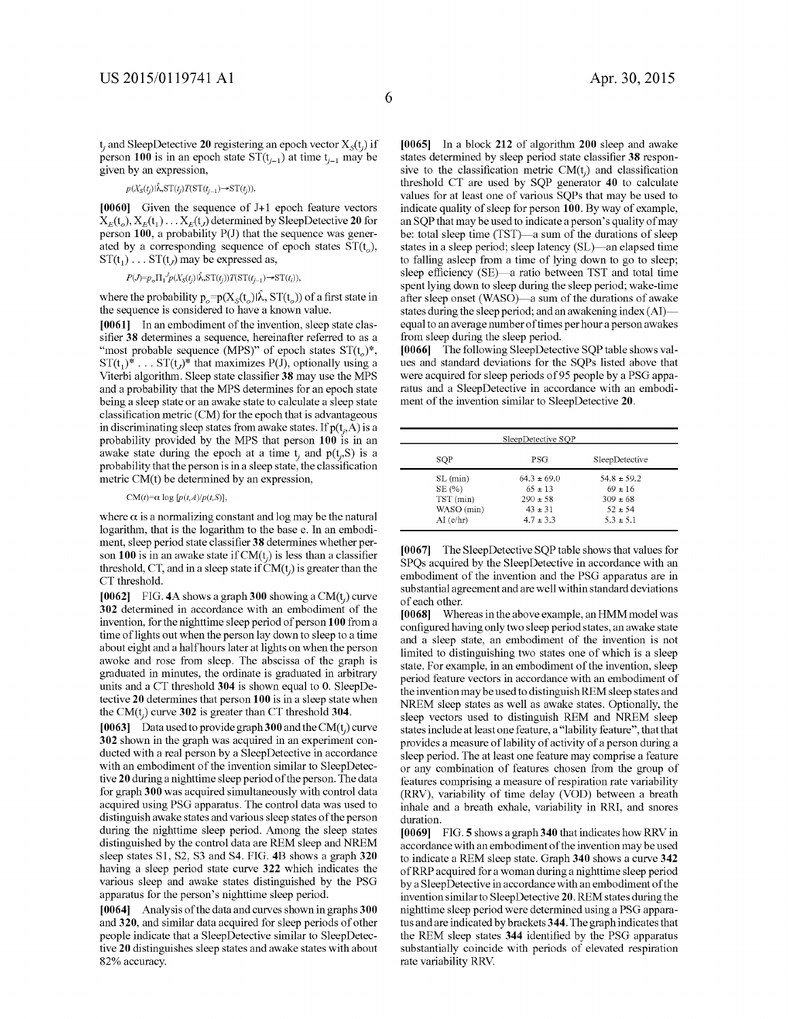$t_i$  and SleepDetective 20 registering an epoch vector  $X_s(t_i)$  if person 100 is in an epoch state  $ST(t_{j-1})$  at time  $t_{j-1}$  may be given by an expression,

$$
p(X_{\mathcal{S}}(t_i)|\hat{\lambda}, \mathcal{ST}(t_i)T(\mathcal{ST}(t_{i-1}) \rightarrow \mathcal{ST}(t_i)).
$$

[0060] Given the sequence of J+1 epoch feature vectors  $X_E(t_o), X_E(t_1) \ldots X_E(t_J)$  determined by SleepDetective 20 for person 100, a probability P(J) that the sequence was generated by a corresponding sequence of epoch states  $ST(t_o)$ ,  $ST(t_1) \ldots ST(t_J)$  may be expressed as,

$$
P(J) = p_o \Pi_1^J p(X_S(t_i) | \hat{\lambda}, \mathcal{ST}(t_i)) T(\mathcal{ST}(t_{i-1}) \rightarrow \mathcal{ST}(t_i)),
$$

where the probability  $p_o = p(X_s(t_o)|\hat{\lambda}, ST(t_o))$  of a first state in the sequence is considered to have a known value.

[0061] In an embodiment of the invention, sleep state classifier 38 determines a sequence, hereinafter referred to as a "most probable sequence (MPS)" of epoch states  $ST(t_0)^*$ ,  $ST(t_1)^* \dots ST(t_n)^*$  that maximizes P(J), optionally using a Viterbi algorithm. Sleep state classifier 38 may use the MPS and a probability that the MPS determines for an epoch state being a sleep state or an awake state to calculate a sleep state classification metric (CM) for the epoch that is advantageous in discriminating sleep states from awake states. If  $p(t,A)$  is a probability provided by the MPS that person 100 is in an awake state during the epoch at a time  $t_i$  and  $p(t_i, S)$  is a probability that the person is in a sleep state, the classification metric CM(t) be determined by an expression,

#### CM(t)= $\alpha$  log [ $p(t,A)/p(t,S)$ ],

where  $\alpha$  is a normalizing constant and log may be the natural logarithm, that is the logarithm to the base e. In an embodiment, sleep period state classifier 38 determines whether person 100 is in an awake state if  $CM(t)$  is less than a classifier threshold, CT, and in a sleep state if  $CM(t_i)$  is greater than the CT threshold.

[0062] FIG. 4A shows a graph 300 showing a CM( $t_i$ ) curve 302 determined in accordance with an embodiment of the invention, for the nighttime sleep period of person 100 from a time of lights out when the person lay down to sleep to a time about eight and a half hours later at lights on when the person awoke and rose from sleep. The abscissa of the graph is graduated in minutes, the ordinate is graduated in arbitrary units and a CT threshold 304 is shown equal to 0. SleepDetective 20 determines that person 100 is in a sleep state when the CM $(t_i)$  curve 302 is greater than CT threshold 304.

[0063] Data used to provide graph 300 and the CM(t<sub>i</sub>) curve 302 shown in the graph was acquired in an experiment conducted with a real person by a SleepDetective in accordance with an embodiment of the invention similar to SleepDetective 20 during a nighttime sleep period of the person. The data for graph 300 was acquired simultaneously with control data acquired using PSG apparatus. The control data was used to distinguish awake states and various sleep states of the person during the nighttime sleep period. Among the sleep states distinguished by the control data are REM sleep and NREM sleep states Sl, S2, S3 and S4. FIG. 4B shows a graph 320 having a sleep period state curve 322 which indicates the various sleep and awake states distinguished by the PSG apparatus for the person's nighttime sleep period.

[0064] Analysis of the data and curves shown in graphs 300 and 320, and similar data acquired for sleep periods of other people indicate that a SleepDetective similar to SleepDetective 20 distinguishes sleep states and awake states with about 82% accuracy.

[0065] In a block 212 of algorithm 200 sleep and awake states determined by sleep period state classifier 38 responsive to the classification metric  $CM(t<sub>i</sub>)$  and classification threshold CT are used by SQP generator 40 to calculate values for at least one of various SQPs that may be used to indicate quality of sleep for person 100. By way of example, an SQP that may be used to indicate a person's quality of may be: total sleep time (TST)—a sum of the durations of sleep states in a sleep period; sleep latency (SL)—an elapsed time to falling asleep from a time of lying down to go to sleep; sleep efficiency (SE)—a ratio between TST and total time spent lying down to sleep during the sleep period; wake-time after sleep onset (WASO)—a sum of the durations of awake states during the sleep period; and an awakening index (AI) equal to an average number of times per hour a person awakes from sleep during the sleep period.

[0066] The following SleepDetective SQP table shows values and standard deviations for the SQPs listed above that were acquired for sleep periods of 95 people by a PSG apparatus and a SleepDetective in accordance with an embodiment of the invention similar to SleepDetective 20.

| SleepDetective SOP |                 |                 |
|--------------------|-----------------|-----------------|
| SOP                | PSG             | SleepDetective  |
| $SL$ (min)         | $64.3 \pm 69.0$ | $54.8 \pm 59.2$ |
| SE(%)              | $65 \pm 13$     | $69 \pm 16$     |
| TST (min)          | $290 \pm 58$    | $309 \pm 68$    |
| WASO (min)         | $43 \pm 31$     | $52 \pm 54$     |
| AI(e/hr)           | $4.7 \pm 3.3$   | $5.3 \pm 5.1$   |

[0067] The SleepDetective SQP table shows that values for SPQs acquired by the SleepDetective in accordance with an embodiment of the invention and the PSG apparatus are in substantial agreement and are well within standard deviations of each other.

[0068] Whereas in the above example, an HMM model was configured having only two sleep period states, an awake state and a sleep state, an embodiment of the invention is not limited to distinguishing two states one of which is a sleep state. For example, in an embodiment of the invention, sleep period feature vectors in accordance with an embodiment of the invention may be used to distinguish REM sleep states and NREM sleep states as well as awake states. Optionally, the sleep vectors used to distinguish REM and NREM sleep states include at least one feature, a "!ability feature", that that provides a measure of lability of activity of a person during a sleep period. The at least one feature may comprise a feature or any combination of features chosen from the group of features comprising a measure of respiration rate variability (RRV), variability of time delay (VOD) between a breath inhale and a breath exhale, variability in RRI, and snores duration.

[0069] FIG. 5 shows a graph 340 that indicates how RRV in accordance with an embodiment of the invention may be used to indicate a REM sleep state. Graph 340 shows a curve 342 ofRRP acquired for a woman during a nighttime sleep period by a Sleep Detective in accordance with an embodiment of the invention similar to Sleep Detective 20. REM states during the nighttime sleep period were determined using a PSG apparatus and are indicated by brackets 344. The graph indicates that the REM sleep states 344 identified by the PSG apparatus substantially coincide with periods of elevated respiration rate variability RRV.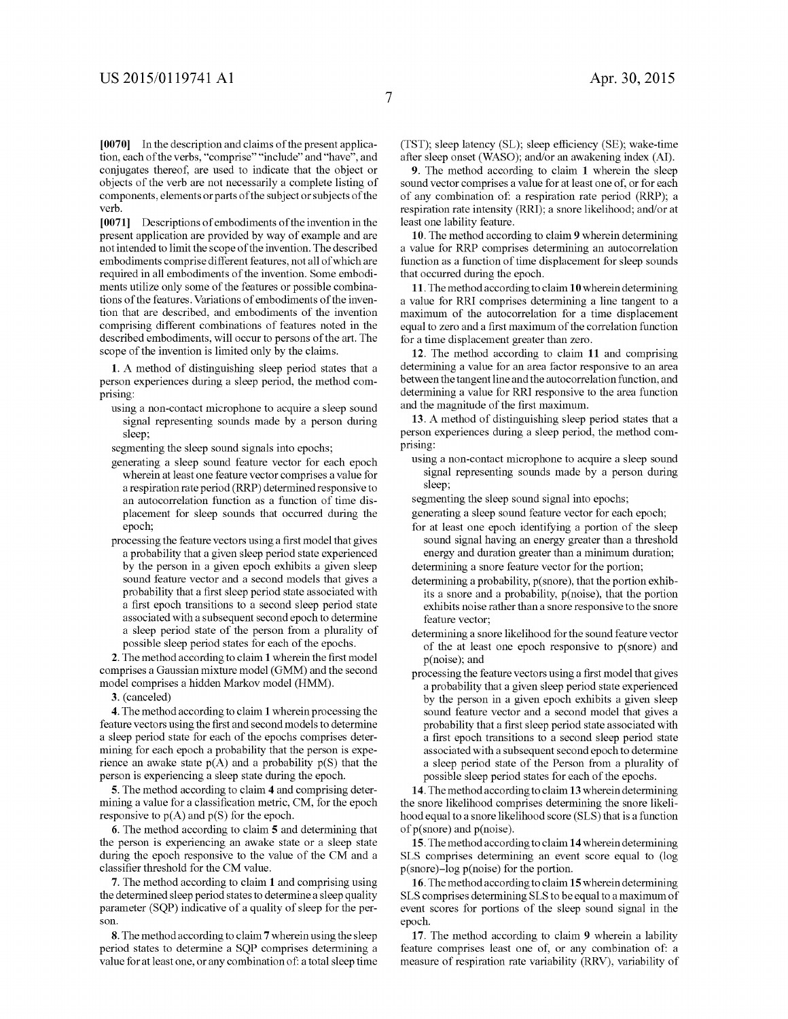7

**[0070]** In the description and claims of the present application, each of the verbs, "comprise" "include" and "have", and conjugates thereof, are used to indicate that the object or objects of the verb are not necessarily a complete listing of components, elements or parts of the subject or subjects of the verb.

**[0071]** Descriptions of embodiments of the invention in the present application are provided by way of example and are not intended to limit the scope of the invention. The described embodiments comprise different features, not all of which are required in all embodiments of the invention. Some embodiments utilize only some of the features or possible combinations of the features. Variations of embodiments of the invention that are described, and embodiments of the invention comprising different combinations of features noted in the described embodiments, will occur to persons of the art. The scope of the invention is limited only by the claims.

**1.** A method of distinguishing sleep period states that a person experiences during a sleep period, the method comprising:

using a non-contact microphone to acquire a sleep sound signal representing sounds made by a person during sleep;

segmenting the sleep sound signals into epochs;

- generating a sleep sound feature vector for each epoch wherein at least one feature vector comprises a value for a respiration rate period (RRP) determined responsive to an autocorrelation function as a function of time displacement for sleep sounds that occurred during the epoch;
- processing the feature vectors using a first model that gives a probability that a given sleep period state experienced by the person in a given epoch exhibits a given sleep sound feature vector and a second models that gives a probability that a first sleep period state associated with a first epoch transitions to a second sleep period state associated with a subsequent second epoch to determine a sleep period state of the person from a plurality of possible sleep period states for each of the epochs.

**2.** The method according to claim **1** wherein the first model comprises a Gaussian mixture model (GMM) and the second model comprises a hidden Markov model (HMM).

**3.** (canceled)

**4.** The method according to claim **1** wherein processing the feature vectors using the first and second models to determine a sleep period state for each of the epochs comprises determining for each epoch a probability that the person is experience an awake state  $p(A)$  and a probability  $p(S)$  that the person is experiencing a sleep state during the epoch.

**5.** The method according to claim **4** and comprising determining a value for a classification metric, CM, for the epoch responsive to  $p(A)$  and  $p(S)$  for the epoch.

**6.** The method according to claim **5** and determining that the person is experiencing an awake state or a sleep state during the epoch responsive to the value of the CM and a classifier threshold for the CM value.

**7.** The method according to claim **1** and comprising using the determined sleep period states to determine a sleep quality parameter (SQP) indicative of a quality of sleep for the person.

**8.** The method according to claim **7** wherein using the sleep period states to determine a SQP comprises determining a value for at least one, or any combination of: a total sleep time (TST); sleep latency (SL); sleep efficiency (SE); wake-time after sleep onset (WASO); and/or an awakening index (AI).

**9.** The method according to claim **1** wherein the sleep sound vector comprises a value for at least one of, or for each of any combination of: a respiration rate period (RRP); a respiration rate intensity (RRI); a snore likelihood; and/or at least one lability feature.

**10.** The method according to claim **9** wherein determining a value for RRP comprises determining an autocorrelation function as a function of time displacement for sleep sounds that occurred during the epoch.

**11.** The method according to claim **10** wherein determining a value for RRI comprises determining a line tangent to a maximum of the autocorrelation for a time displacement equal to zero and a first maximum of the correlation function for a time displacement greater than zero.

**12.** The method according to claim **11** and comprising determining a value for an area factor responsive to an area between the tangent line and the autocorrelation function, and determining a value for RRI responsive to the area function and the magnitude of the first maximum.

**13.** A method of distinguishing sleep period states that a person experiences during a sleep period, the method comprising:

using a non-contact microphone to acquire a sleep sound signal representing sounds made by a person during sleep;

segmenting the sleep sound signal into epochs;

- generating a sleep sound feature vector for each epoch;
- for at least one epoch identifying a portion of the sleep sound signal having an energy greater than a threshold energy and duration greater than a minimum duration; determining a snore feature vector for the portion;

determining a probability, p(snore), that the portion exhib-

- its a snore and a probability, p(noise), that the portion exhibits noise rather than a snore responsive to the snore feature vector;
- determining a snore likelihood for the sound feature vector of the at least one epoch responsive to p(snore) and p(noise); and
- processing the feature vectors using a first model that gives a probability that a given sleep period state experienced by the person in a given epoch exhibits a given sleep sound feature vector and a second model that gives a probability that a first sleep period state associated with a first epoch transitions to a second sleep period state associated with a subsequent second epoch to determine a sleep period state of the Person from a plurality of possible sleep period states for each of the epochs.

**14.** The method according to claim **13** wherein determining the snore likelihood comprises determining the snore likelihood equal to a snore likelihood score (SLS) that is a function of  $p(\text{snore})$  and  $p(\text{noise})$ .

**15.** The method according to claim **14** wherein determining SLS comprises determining an event score equal to (log  $p(snore)$ -log  $p(noise)$  for the portion.

**16.** The method according to claim **15** wherein determining SLS comprises determining SLS to be equal to a maximum of event scores for portions of the sleep sound signal in the epoch.

17. The method according to claim 9 wherein a lability feature comprises least one of, or any combination of: a measure of respiration rate variability (RRV), variability of